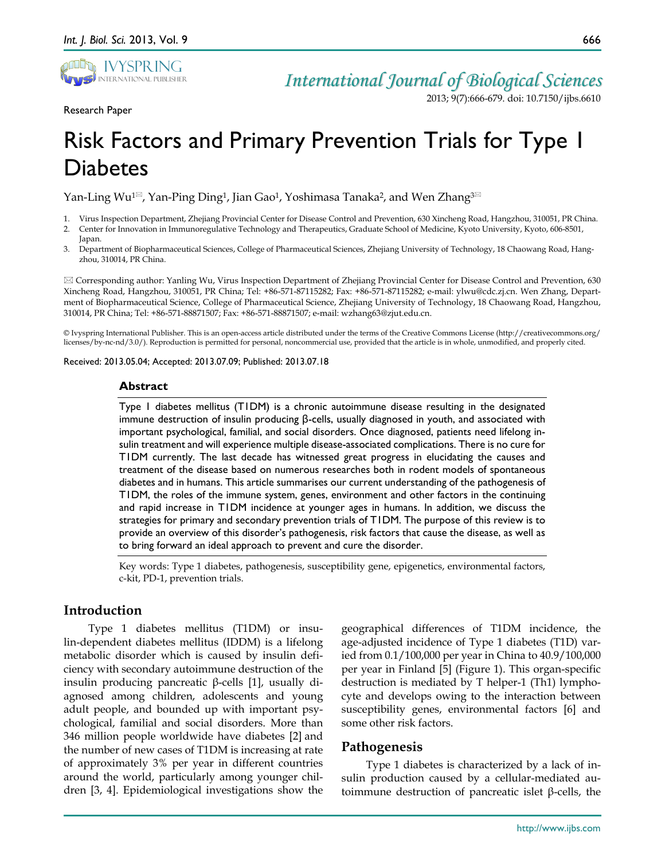

# *International Journal of Biological Sciences*

2013; 9(7):666-679. doi: 10.7150/ijbs.6610

# Risk Factors and Primary Prevention Trials for Type 1 Diabetes

Yan-Ling Wu<sup>1 $\text{M}$ </sup>, Yan-Ping Ding<sup>1</sup>, Jian Gao<sup>1</sup>, Yoshimasa Tanaka<sup>2</sup>, and Wen Zhang<sup>3 $\text{M}$ </sup>

- 1. Virus Inspection Department, Zhejiang Provincial Center for Disease Control and Prevention, 630 Xincheng Road, Hangzhou, 310051, PR China.
- 2. Center for Innovation in Immunoregulative Technology and Therapeutics, Graduate School of Medicine, Kyoto University, Kyoto, 606-8501, Japan.
- 3. Department of Biopharmaceutical Sciences, College of Pharmaceutical Sciences, Zhejiang University of Technology, 18 Chaowang Road, Hangzhou, 310014, PR China.

 Corresponding author: Yanling Wu, Virus Inspection Department of Zhejiang Provincial Center for Disease Control and Prevention, 630 Xincheng Road, Hangzhou, 310051, PR China; Tel: +86-571-87115282; Fax: +86-571-87115282; e-mail: ylwu@cdc.zj.cn. Wen Zhang, Department of Biopharmaceutical Science, College of Pharmaceutical Science, Zhejiang University of Technology, 18 Chaowang Road, Hangzhou, 310014, PR China; Tel: +86-571-88871507; Fax: +86-571-88871507; e-mail: wzhang63@zjut.edu.cn.

© Ivyspring International Publisher. This is an open-access article distributed under the terms of the Creative Commons License (http://creativecommons.org/ licenses/by-nc-nd/3.0/). Reproduction is permitted for personal, noncommercial use, provided that the article is in whole, unmodified, and properly cited.

Received: 2013.05.04; Accepted: 2013.07.09; Published: 2013.07.18

#### **Abstract**

Type 1 diabetes mellitus (T1DM) is a chronic autoimmune disease resulting in the designated immune destruction of insulin producing β-cells, usually diagnosed in youth, and associated with important psychological, familial, and social disorders. Once diagnosed, patients need lifelong insulin treatment and will experience multiple disease-associated complications. There is no cure for T1DM currently. The last decade has witnessed great progress in elucidating the causes and treatment of the disease based on numerous researches both in rodent models of spontaneous diabetes and in humans. This article summarises our current understanding of the pathogenesis of T1DM, the roles of the immune system, genes, environment and other factors in the continuing and rapid increase in T1DM incidence at younger ages in humans. In addition, we discuss the strategies for primary and secondary prevention trials of T1DM. The purpose of this review is to provide an overview of this disorder's pathogenesis, risk factors that cause the disease, as well as to bring forward an ideal approach to prevent and cure the disorder.

Key words: Type 1 diabetes, pathogenesis, susceptibility gene, epigenetics, environmental factors, c-kit, PD-1, prevention trials.

# **Introduction**

Type 1 diabetes mellitus (T1DM) or insulin-dependent diabetes mellitus (IDDM) is a lifelong metabolic disorder which is caused by insulin deficiency with secondary autoimmune destruction of the insulin producing pancreatic β-cells [1], usually diagnosed among children, adolescents and young adult people, and bounded up with important psychological, familial and social disorders. More than 346 million people worldwide have diabetes [2] and the number of new cases of T1DM is increasing at rate of approximately 3% per year in different countries around the world, particularly among younger children [3, 4]. Epidemiological investigations show the

geographical differences of T1DM incidence, the age-adjusted incidence of Type 1 diabetes (T1D) varied from 0.1/100,000 per year in China to 40.9/100,000 per year in Finland [5] (Figure 1). This organ-specific destruction is mediated by T helper-1 (Th1) lymphocyte and develops owing to the interaction between susceptibility genes, environmental factors [6] and some other risk factors.

# **Pathogenesis**

Type 1 diabetes is characterized by a lack of insulin production caused by a cellular-mediated autoimmune destruction of pancreatic islet β-cells, the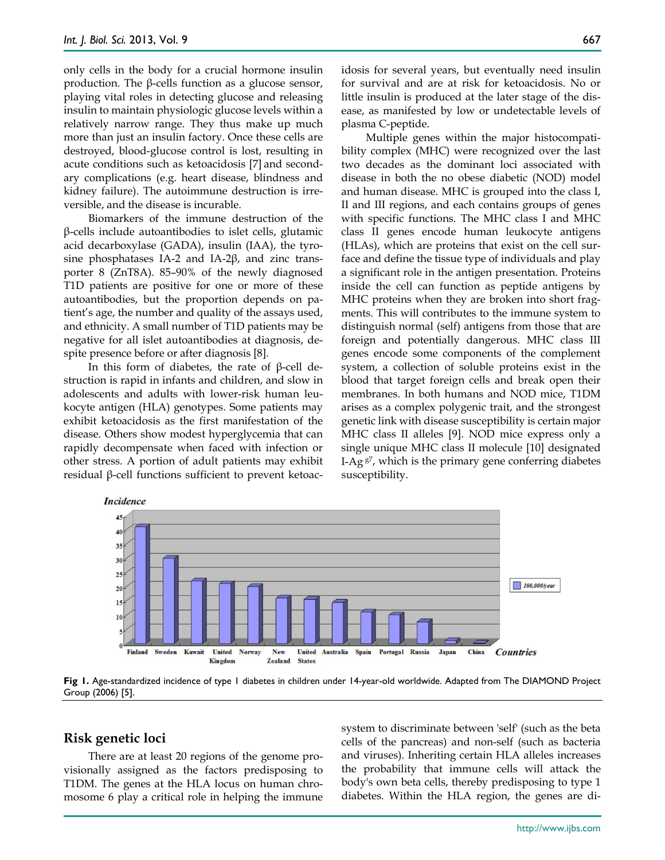only cells in the body for a crucial hormone insulin production. The β-cells function as a glucose sensor, playing vital roles in detecting glucose and releasing insulin to maintain physiologic glucose levels within a relatively narrow range. They thus make up much more than just an insulin factory. Once these cells are destroyed, blood-glucose control is lost, resulting in acute conditions such as ketoacidosis [7] and secondary complications (e.g. heart disease, blindness and kidney failure). The autoimmune destruction is irreversible, and the disease is incurable.

Biomarkers of the immune destruction of the β-cells include autoantibodies to islet cells, glutamic acid decarboxylase (GADA), insulin (IAA), the tyrosine phosphatases IA-2 and IA-2β, and zinc transporter 8 (ZnT8A). 85–90% of the newly diagnosed T1D patients are positive for one or more of these autoantibodies, but the proportion depends on patient's age, the number and quality of the assays used, and ethnicity. A small number of T1D patients may be negative for all islet autoantibodies at diagnosis, despite presence before or after diagnosis [8].

In this form of diabetes, the rate of β-cell destruction is rapid in infants and children, and slow in adolescents and adults with lower-risk human leukocyte antigen (HLA) genotypes. Some patients may exhibit ketoacidosis as the first manifestation of the disease. Others show modest hyperglycemia that can rapidly decompensate when faced with infection or other stress. A portion of adult patients may exhibit residual β-cell functions sufficient to prevent ketoacidosis for several years, but eventually need insulin for survival and are at risk for ketoacidosis. No or little insulin is produced at the later stage of the disease, as manifested by low or undetectable levels of plasma C-peptide.

Multiple genes within the major histocompatibility complex (MHC) were recognized over the last two decades as the dominant loci associated with disease in both the no obese diabetic (NOD) model and human disease. MHC is grouped into the class I, II and III regions, and each contains groups of genes with specific functions. The MHC class I and MHC class II genes encode human leukocyte antigens (HLAs), which are proteins that exist on the cell surface and define the tissue type of individuals and play a significant role in the antigen presentation. Proteins inside the cell can function as peptide antigens by MHC proteins when they are broken into short fragments. This will contributes to the immune system to distinguish normal (self) antigens from those that are foreign and potentially dangerous. MHC class III genes encode some components of the complement system, a collection of soluble proteins exist in the blood that target foreign cells and break open their membranes. In both humans and NOD mice, T1DM arises as a complex polygenic trait, and the strongest genetic link with disease susceptibility is certain major MHC class II alleles [9]. NOD mice express only a single unique MHC class II molecule [10] designated I-Ag  $g^7$ , which is the primary gene conferring diabetes susceptibility.



**Fig 1.** Age-standardized incidence of type 1 diabetes in children under 14-year-old worldwide. Adapted from The DIAMOND Project Group (2006) [5].

#### **Risk genetic loci**

There are at least 20 regions of the genome provisionally assigned as the factors predisposing to T1DM. The genes at the HLA locus on human chromosome 6 play a critical role in helping the immune system to discriminate between 'self' (such as the beta cells of the pancreas) and non-self (such as bacteria and viruses). Inheriting certain HLA alleles increases the probability that immune cells will attack the body's own beta cells, thereby predisposing to type 1 diabetes. Within the HLA region, the genes are di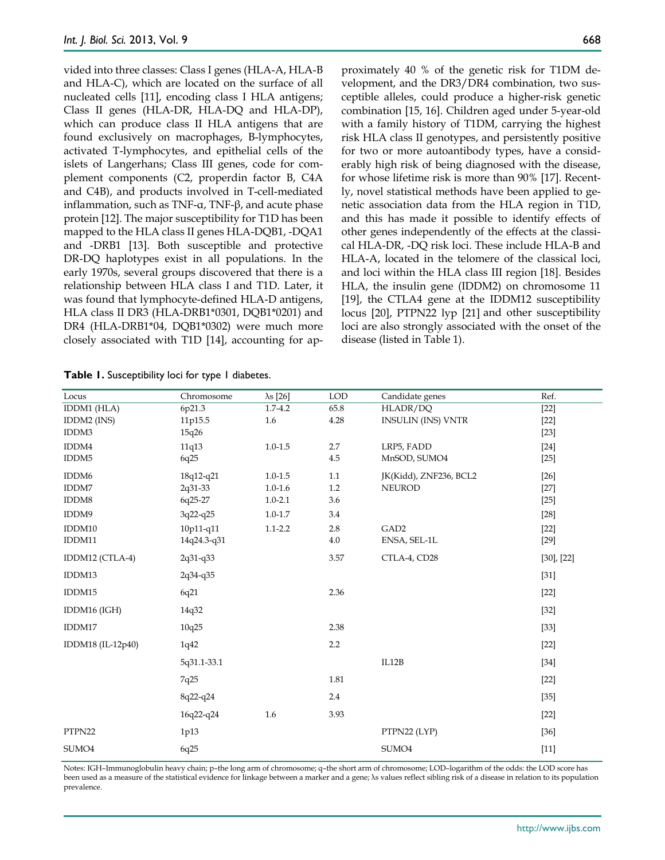vided into three classes: Class I genes (HLA-A, HLA-B and HLA-C), which are located on the surface of all nucleated cells [11], encoding class I HLA antigens; Class II genes (HLA-DR, HLA-DQ and HLA-DP), which can produce class II HLA antigens that are found exclusively on macrophages, B-lymphocytes, activated T-lymphocytes, and epithelial cells of the islets of Langerhans; Class III genes, code for complement components (C2, properdin factor B, C4A and C4B), and products involved in T-cell-mediated inflammation, such as TNF- $α$ , TNF- $β$ , and acute phase protein [12]. The major susceptibility for T1D has been mapped to the HLA class II genes HLA-DQB1, -DQA1 and -DRB1 [13]. Both susceptible and protective DR-DQ haplotypes exist in all populations. In the early 1970s, several groups discovered that there is a relationship between HLA class I and T1D. Later, it was found that lymphocyte-defined HLA-D antigens, HLA class II DR3 (HLA-DRB1\*0301, DQB1\*0201) and DR4 (HLA-DRB1\*04, DQB1\*0302) were much more closely associated with T1D [14], accounting for approximately 40 % of the genetic risk for T1DM development, and the DR3/DR4 combination, two susceptible alleles, could produce a higher-risk genetic combination [15, 16]. Children aged under 5-year-old with a family history of T1DM, carrying the highest risk HLA class II genotypes, and persistently positive for two or more autoantibody types, have a considerably high risk of being diagnosed with the disease, for whose lifetime risk is more than 90% [17]. Recently, novel statistical methods have been applied to genetic association data from the HLA region in T1D, and this has made it possible to identify effects of other genes independently of the effects at the classical HLA-DR, -DQ risk loci. These include HLA-B and HLA-A, located in the telomere of the classical loci, and loci within the HLA class III region [18]. Besides HLA, the insulin gene (IDDM2) on chromosome 11 [19], the CTLA4 gene at the IDDM12 susceptibility locus [20], PTPN22 lyp [21] and other susceptibility loci are also strongly associated with the onset of the disease (listed in Table 1).

| Locus             | Chromosome  | $\lambda s$ [26] | <b>LOD</b> | Candidate genes           | Ref.            |
|-------------------|-------------|------------------|------------|---------------------------|-----------------|
| IDDM1 (HLA)       | 6p21.3      | $1.7 - 4.2$      | 65.8       | HLADR/DQ                  | $[22]$          |
| IDDM2 (INS)       | 11p15.5     | 1.6              | 4.28       | <b>INSULIN (INS) VNTR</b> | $[22]$          |
| IDDM3             | 15q26       |                  |            |                           | $[23]$          |
| IDDM4             | 11q13       | $1.0 - 1.5$      | $2.7\,$    | LRP5, FADD                | $[24]$          |
| IDDM5             | 6q25        |                  | $4.5\,$    | MnSOD, SUMO4              | $[25]$          |
| IDDM <sub>6</sub> | 18q12-q21   | $1.0 - 1.5$      | 1.1        | JK(Kidd), ZNF236, BCL2    | $[26]$          |
| IDDM7             | 2q31-33     | $1.0 - 1.6$      | 1.2        | <b>NEUROD</b>             | $[27]$          |
| IDDM8             | 6q25-27     | $1.0 - 2.1$      | 3.6        |                           | $[25]$          |
| IDDM9             | 3q22-q25    | $1.0 - 1.7$      | 3.4        |                           | $[28]$          |
| IDDM10            | 10p11-q11   | $1.1 - 2.2$      | 2.8        | GAD <sub>2</sub>          | $[22]$          |
| IDDM11            | 14q24.3-q31 |                  | $4.0\,$    | ENSA, SEL-1L              | $[29]$          |
| IDDM12 (CTLA-4)   | 2q31-q33    |                  | 3.57       | CTLA-4, CD28              | $[30]$ , $[22]$ |
| IDDM13            | 2q34-q35    |                  |            |                           | $[31]$          |
| IDDM15            | 6q21        |                  | 2.36       |                           | $[22]$          |
| IDDM16 (IGH)      | 14q32       |                  |            |                           | $[32]$          |
| IDDM17            | 10q25       |                  | 2.38       |                           | $[33]$          |
| IDDM18 (IL-12p40) | 1q42        |                  | 2.2        |                           | $[22]$          |
|                   | 5q31.1-33.1 |                  |            | IL12B                     | $[34]$          |
|                   | 7q25        |                  | 1.81       |                           | $[22]$          |
|                   | 8q22-q24    |                  | 2.4        |                           | $[35]$          |
|                   | 16q22-q24   | 1.6              | 3.93       |                           | $[22]$          |
| PTPN22            | 1p13        |                  |            | PTPN22 (LYP)              | $[36]$          |
| SUMO <sub>4</sub> | 6q25        |                  |            | SUMO <sub>4</sub>         | $[11]$          |

**Table 1.** Susceptibility loci for type 1 diabetes.

Notes: IGH–Immunoglobulin heavy chain; p–the long arm of chromosome; q–the short arm of chromosome; LOD–logarithm of the odds: the LOD score has been used as a measure of the statistical evidence for linkage between a marker and a gene; λs values reflect sibling risk of a disease in relation to its population prevalence.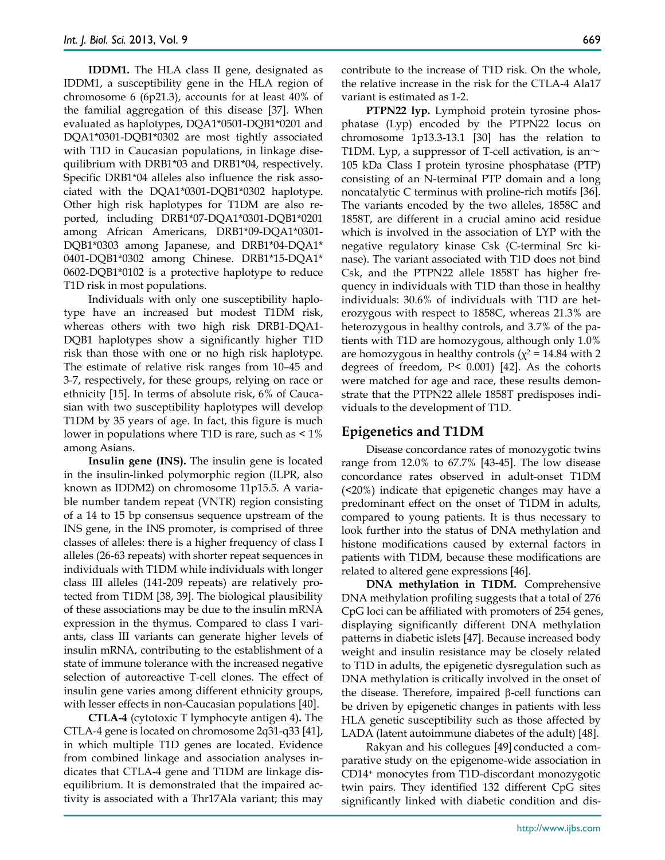**IDDM1.** The HLA class II gene, designated as IDDM1, a susceptibility gene in the HLA region of chromosome 6 (6p21.3), accounts for at least 40% of the familial aggregation of this disease [37]. When evaluated as haplotypes, DQA1\*0501-DQB1\*0201 and DQA1\*0301-DQB1\*0302 are most tightly associated with T1D in Caucasian populations, in linkage disequilibrium with DRB1\*03 and DRB1\*04, respectively. Specific DRB1\*04 alleles also influence the risk associated with the DQA1\*0301-DQB1\*0302 haplotype. Other high risk haplotypes for T1DM are also reported, including DRB1\*07-DQA1\*0301-DQB1\*0201 among African Americans, DRB1\*09-DQA1\*0301- DQB1\*0303 among Japanese, and DRB1\*04-DQA1\* 0401-DQB1\*0302 among Chinese. DRB1\*15-DQA1\* 0602-DQB1\*0102 is a protective haplotype to reduce T1D risk in most populations.

Individuals with only one susceptibility haplotype have an increased but modest T1DM risk, whereas others with two high risk DRB1-DQA1- DQB1 haplotypes show a significantly higher T1D risk than those with one or no high risk haplotype. The estimate of relative risk ranges from 10–45 and 3-7, respectively, for these groups, relying on race or ethnicity [15]. In terms of absolute risk, 6% of Caucasian with two susceptibility haplotypes will develop T1DM by 35 years of age. In fact, this figure is much lower in populations where T1D is rare, such as  $\leq 1\%$ among Asians.

**Insulin gene (INS).** The insulin gene is located in the insulin-linked polymorphic region (ILPR, also known as IDDM2) on chromosome 11p15.5. A variable number tandem repeat (VNTR) region consisting of a 14 to 15 bp consensus sequence upstream of the INS gene, in the INS promoter, is comprised of three classes of alleles: there is a higher frequency of class I alleles (26-63 repeats) with shorter repeat sequences in individuals with T1DM while individuals with longer class III alleles (141-209 repeats) are relatively protected from T1DM [38, 39]. The biological plausibility of these associations may be due to the insulin mRNA expression in the thymus. Compared to class I variants, class III variants can generate higher levels of insulin mRNA, contributing to the establishment of a state of immune tolerance with the increased negative selection of autoreactive T-cell clones. The effect of insulin gene varies among different ethnicity groups, with lesser effects in non-Caucasian populations [40].

**CTLA-4** (cytotoxic T lymphocyte antigen 4)**.** The CTLA-4 gene is located on chromosome 2q31-q33 [41], in which multiple T1D genes are located. Evidence from combined linkage and association analyses indicates that CTLA-4 gene and T1DM are linkage disequilibrium. It is demonstrated that the impaired activity is associated with a Thr17Ala variant; this may contribute to the increase of T1D risk. On the whole, the relative increase in the risk for the CTLA-4 Ala17 variant is estimated as 1-2.

**PTPN22 lyp.** Lymphoid protein tyrosine phosphatase (Lyp) encoded by the PTPN22 locus on chromosome 1p13.3-13.1 [30] has the relation to T1DM. Lyp, a suppressor of T-cell activation, is an $\sim$ 105 kDa Class I protein tyrosine phosphatase (PTP) consisting of an N-terminal PTP domain and a long noncatalytic C terminus with proline-rich motifs [36]. The variants encoded by the two alleles, 1858C and 1858T, are different in a crucial amino acid residue which is involved in the association of LYP with the negative regulatory kinase Csk (C-terminal Src kinase). The variant associated with T1D does not bind Csk, and the PTPN22 allele 1858T has higher frequency in individuals with T1D than those in healthy individuals: 30.6% of individuals with T1D are heterozygous with respect to 1858C, whereas 21.3% are heterozygous in healthy controls, and 3.7% of the patients with T1D are homozygous, although only 1.0% are homozygous in healthy controls ( $\chi^2$  = 14.84 with 2 degrees of freedom, P< 0.001) [42]. As the cohorts were matched for age and race, these results demonstrate that the PTPN22 allele 1858T predisposes individuals to the development of T1D.

#### **Epigenetics and T1DM**

Disease concordance rates of monozygotic twins range from 12.0% to 67.7% [43-45]. The low disease concordance rates observed in adult-onset T1DM (<20%) indicate that epigenetic changes may have a predominant effect on the onset of T1DM in adults, compared to young patients. It is thus necessary to look further into the status of DNA methylation and histone modifications caused by external factors in patients with T1DM, because these modifications are related to altered gene expressions [46].

**DNA methylation in T1DM.** Comprehensive DNA methylation profiling suggests that a total of 276 CpG loci can be affiliated with promoters of 254 genes, displaying significantly different DNA methylation patterns in diabetic islets [47]. Because increased body weight and insulin resistance may be closely related to T1D in adults, the epigenetic dysregulation such as DNA methylation is critically involved in the onset of the disease. Therefore, impaired β-cell functions can be driven by epigenetic changes in patients with less HLA genetic susceptibility such as those affected by LADA (latent autoimmune diabetes of the adult) [48].

Rakyan and his collegues [49] conducted a comparative study on the epigenome-wide association in CD14+ monocytes from T1D-discordant monozygotic twin pairs. They identified 132 different CpG sites significantly linked with diabetic condition and dis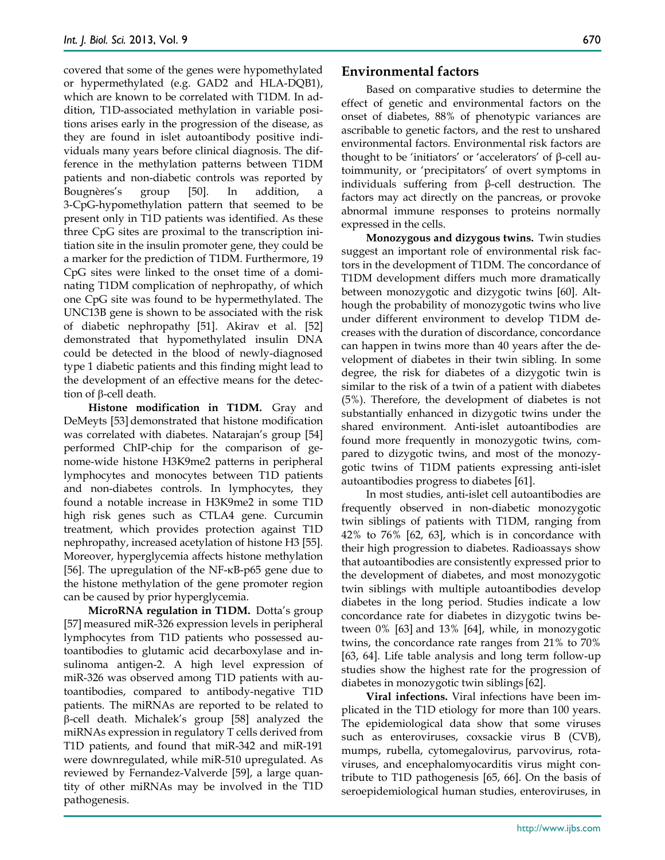covered that some of the genes were hypomethylated or hypermethylated (e.g. GAD2 and HLA-DQB1), which are known to be correlated with T1DM. In addition, T1D-associated methylation in variable positions arises early in the progression of the disease, as they are found in islet autoantibody positive individuals many years before clinical diagnosis. The difference in the methylation patterns between T1DM patients and non-diabetic controls was reported by Bougnères's group [50]. In addition, a 3-CpG-hypomethylation pattern that seemed to be present only in T1D patients was identified. As these three CpG sites are proximal to the transcription initiation site in the insulin promoter gene, they could be a marker for the prediction of T1DM. Furthermore, 19 CpG sites were linked to the onset time of a dominating T1DM complication of nephropathy, of which one CpG site was found to be hypermethylated. The UNC13B gene is shown to be associated with the risk of diabetic nephropathy [51]. Akirav et al. [52] demonstrated that hypomethylated insulin DNA could be detected in the blood of newly-diagnosed type 1 diabetic patients and this finding might lead to the development of an effective means for the detection of β-cell death.

**Histone modification in T1DM.** Gray and DeMeyts [53] demonstrated that histone modification was correlated with diabetes. Natarajan's group [54] performed ChIP-chip for the comparison of genome-wide histone H3K9me2 patterns in peripheral lymphocytes and monocytes between T1D patients and non-diabetes controls. In lymphocytes, they found a notable increase in H3K9me2 in some T1D high risk genes such as CTLA4 gene. Curcumin treatment, which provides protection against T1D nephropathy, increased acetylation of histone H3 [55]. Moreover, hyperglycemia affects histone methylation [56]. The upregulation of the NF-κB-p65 gene due to the histone methylation of the gene promoter region can be caused by prior hyperglycemia.

**MicroRNA regulation in T1DM.** Dotta's group [57] measured miR-326 expression levels in peripheral lymphocytes from T1D patients who possessed autoantibodies to glutamic acid decarboxylase and insulinoma antigen-2. A high level expression of miR-326 was observed among T1D patients with autoantibodies, compared to antibody-negative T1D patients. The miRNAs are reported to be related to β-cell death. Michalek's group [58] analyzed the miRNAs expression in regulatory T cells derived from T1D patients, and found that miR-342 and miR-191 were downregulated, while miR-510 upregulated. As reviewed by Fernandez-Valverde [59], a large quantity of other miRNAs may be involved in the T1D pathogenesis.

### **Environmental factors**

Based on comparative studies to determine the effect of genetic and environmental factors on the onset of diabetes, 88% of phenotypic variances are ascribable to genetic factors, and the rest to unshared environmental factors. Environmental risk factors are thought to be 'initiators' or 'accelerators' of β-cell autoimmunity, or 'precipitators' of overt symptoms in individuals suffering from β-cell destruction. The factors may act directly on the pancreas, or provoke abnormal immune responses to proteins normally expressed in the cells.

**Monozygous and dizygous twins.** Twin studies suggest an important role of environmental risk factors in the development of T1DM. The concordance of T1DM development differs much more dramatically between monozygotic and dizygotic twins [60]. Although the probability of monozygotic twins who live under different environment to develop T1DM decreases with the duration of discordance, concordance can happen in twins more than 40 years after the development of diabetes in their twin sibling. In some degree, the risk for diabetes of a dizygotic twin is similar to the risk of a twin of a patient with diabetes (5%). Therefore, the development of diabetes is not substantially enhanced in dizygotic twins under the shared environment. Anti-islet autoantibodies are found more frequently in monozygotic twins, compared to dizygotic twins, and most of the monozygotic twins of T1DM patients expressing anti-islet autoantibodies progress to diabetes [61].

In most studies, anti-islet cell autoantibodies are frequently observed in non-diabetic monozygotic twin siblings of patients with T1DM, ranging from 42% to 76% [62, 63], which is in concordance with their high progression to diabetes. Radioassays show that autoantibodies are consistently expressed prior to the development of diabetes, and most monozygotic twin siblings with multiple autoantibodies develop diabetes in the long period. Studies indicate a low concordance rate for diabetes in dizygotic twins between 0% [63] and 13% [64], while, in monozygotic twins, the concordance rate ranges from 21% to 70% [63, 64]. Life table analysis and long term follow-up studies show the highest rate for the progression of diabetes in monozygotic twin siblings [62].

**Viral infections.** Viral infections have been implicated in the T1D etiology for more than 100 years. The epidemiological data show that some viruses such as enteroviruses, coxsackie virus B (CVB), mumps, rubella, cytomegalovirus, parvovirus, rotaviruses, and encephalomyocarditis virus might contribute to T1D pathogenesis [65, 66]. On the basis of seroepidemiological human studies, enteroviruses, in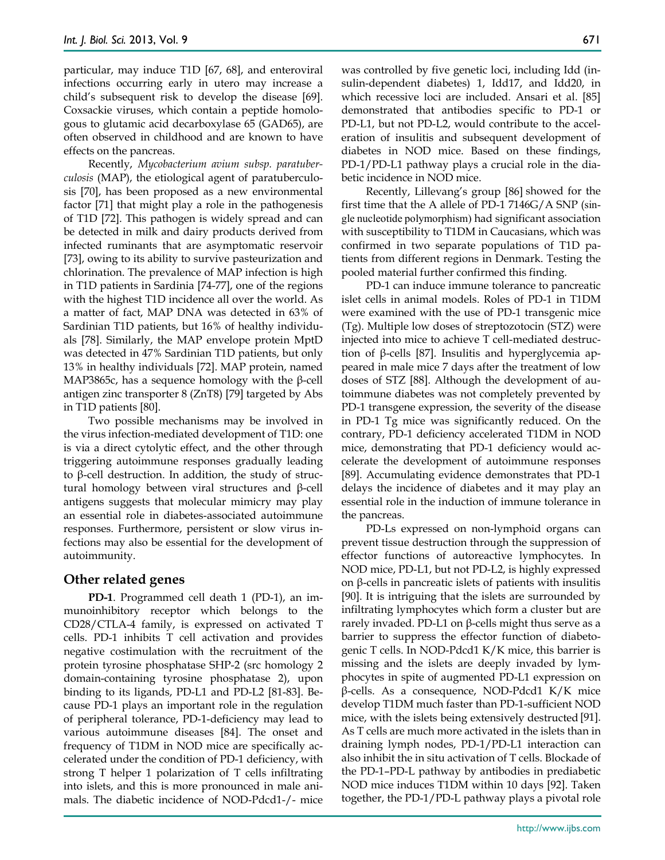particular, may induce T1D [67, 68], and enteroviral infections occurring early in utero may increase a child's subsequent risk to develop the disease [69]. Coxsackie viruses, which contain a peptide homologous to glutamic acid decarboxylase 65 (GAD65), are often observed in childhood and are known to have effects on the pancreas.

Recently, *Mycobacterium avium subsp. paratuberculosis* (MAP), the etiological agent of paratuberculosis [70], has been proposed as a new environmental factor [71] that might play a role in the pathogenesis of T1D [72]. This pathogen is widely spread and can be detected in milk and dairy products derived from infected ruminants that are asymptomatic reservoir [73], owing to its ability to survive pasteurization and chlorination. The prevalence of MAP infection is high in T1D patients in Sardinia [74-77], one of the regions with the highest T1D incidence all over the world. As a matter of fact, MAP DNA was detected in 63% of Sardinian T1D patients, but 16% of healthy individuals [78]. Similarly, the MAP envelope protein MptD was detected in 47% Sardinian T1D patients, but only 13% in healthy individuals [72]. MAP protein, named MAP3865c, has a sequence homology with the β-cell antigen zinc transporter 8 (ZnT8) [79] targeted by Abs in T1D patients [80].

Two possible mechanisms may be involved in the virus infection-mediated development of T1D: one is via a direct cytolytic effect, and the other through triggering autoimmune responses gradually leading to β-cell destruction. In addition, the study of structural homology between viral structures and β-cell antigens suggests that molecular mimicry may play an essential role in diabetes-associated autoimmune responses. Furthermore, persistent or slow virus infections may also be essential for the development of autoimmunity.

# **Other related genes**

**PD-1**. Programmed cell death 1 (PD-1), an immunoinhibitory receptor which belongs to the CD28/CTLA-4 family, is expressed on activated T cells. PD-1 inhibits T cell activation and provides negative costimulation with the recruitment of the protein tyrosine phosphatase SHP-2 (src homology 2 domain-containing tyrosine phosphatase 2), upon binding to its ligands, PD-L1 and PD-L2 [81-83]. Because PD-1 plays an important role in the regulation of peripheral tolerance, PD-1-deficiency may lead to various autoimmune diseases [84]. The onset and frequency of T1DM in NOD mice are specifically accelerated under the condition of PD-1 deficiency, with strong T helper 1 polarization of T cells infiltrating into islets, and this is more pronounced in male animals. The diabetic incidence of NOD-Pdcd1-/- mice

was controlled by five genetic loci, including Idd (insulin-dependent diabetes) 1, Idd17, and Idd20, in which recessive loci are included. Ansari et al. [85] demonstrated that antibodies specific to PD-1 or PD-L1, but not PD-L2, would contribute to the acceleration of insulitis and subsequent development of diabetes in NOD mice. Based on these findings, PD-1/PD-L1 pathway plays a crucial role in the diabetic incidence in NOD mice.

Recently, Lillevang's group [86] showed for the first time that the A allele of PD-1 7146G/A SNP (single nucleotide polymorphism) had significant association with susceptibility to T1DM in Caucasians, which was confirmed in two separate populations of T1D patients from different regions in Denmark. Testing the pooled material further confirmed this finding.

PD-1 can induce immune tolerance to pancreatic islet cells in animal models. Roles of PD-1 in T1DM were examined with the use of PD-1 transgenic mice (Tg). Multiple low doses of streptozotocin (STZ) were injected into mice to achieve T cell-mediated destruction of β-cells [87]. Insulitis and hyperglycemia appeared in male mice 7 days after the treatment of low doses of STZ [88]. Although the development of autoimmune diabetes was not completely prevented by PD-1 transgene expression, the severity of the disease in PD-1 Tg mice was significantly reduced. On the contrary, PD-1 deficiency accelerated T1DM in NOD mice, demonstrating that PD-1 deficiency would accelerate the development of autoimmune responses [89]. Accumulating evidence demonstrates that PD-1 delays the incidence of diabetes and it may play an essential role in the induction of immune tolerance in the pancreas.

PD-Ls expressed on non-lymphoid organs can prevent tissue destruction through the suppression of effector functions of autoreactive lymphocytes. In NOD mice, PD-L1, but not PD-L2, is highly expressed on β-cells in pancreatic islets of patients with insulitis [90]. It is intriguing that the islets are surrounded by infiltrating lymphocytes which form a cluster but are rarely invaded. PD-L1 on  $β$ -cells might thus serve as a barrier to suppress the effector function of diabetogenic T cells. In NOD-Pdcd1 K/K mice, this barrier is missing and the islets are deeply invaded by lymphocytes in spite of augmented PD-L1 expression on β-cells. As a consequence, NOD-Pdcd1 K/K mice develop T1DM much faster than PD-1-sufficient NOD mice, with the islets being extensively destructed [91]. As T cells are much more activated in the islets than in draining lymph nodes, PD-1/PD-L1 interaction can also inhibit the in situ activation of T cells. Blockade of the PD-1–PD-L pathway by antibodies in prediabetic NOD mice induces T1DM within 10 days [92]. Taken together, the PD-1/PD-L pathway plays a pivotal role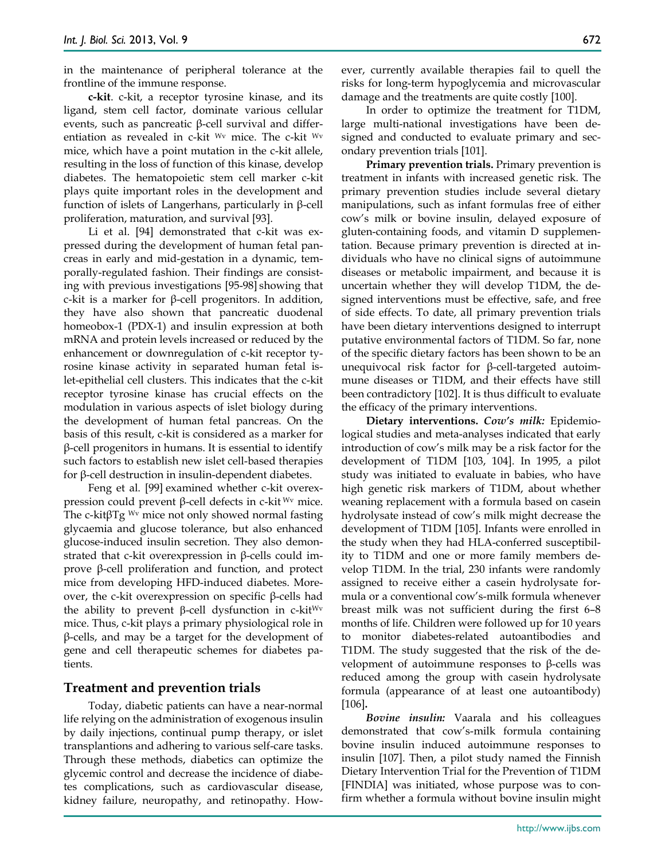in the maintenance of peripheral tolerance at the frontline of the immune response.

**c-kit**. c-kit, a receptor tyrosine kinase, and its ligand, stem cell factor, dominate various cellular events, such as pancreatic β-cell survival and differentiation as revealed in c-kit Wv mice. The c-kit Wv mice, which have a point mutation in the c-kit allele, resulting in the loss of function of this kinase, develop diabetes. The hematopoietic stem cell marker c-kit plays quite important roles in the development and function of islets of Langerhans, particularly in β-cell proliferation, maturation, and survival [93].

Li et al. [94] demonstrated that c-kit was expressed during the development of human fetal pancreas in early and mid-gestation in a dynamic, temporally-regulated fashion. Their findings are consisting with previous investigations [95-98] showing that c-kit is a marker for β-cell progenitors. In addition, they have also shown that pancreatic duodenal homeobox-1 (PDX-1) and insulin expression at both mRNA and protein levels increased or reduced by the enhancement or downregulation of c-kit receptor tyrosine kinase activity in separated human fetal islet-epithelial cell clusters. This indicates that the c-kit receptor tyrosine kinase has crucial effects on the modulation in various aspects of islet biology during the development of human fetal pancreas. On the basis of this result, c-kit is considered as a marker for β-cell progenitors in humans. It is essential to identify such factors to establish new islet cell-based therapies for β-cell destruction in insulin-dependent diabetes.

Feng et al. [99] examined whether c-kit overexpression could prevent β-cell defects in c-kit <sup>Wv</sup> mice. The c-kit $\beta$ Tg <sup>Wv</sup> mice not only showed normal fasting glycaemia and glucose tolerance, but also enhanced glucose-induced insulin secretion. They also demonstrated that c-kit overexpression in β-cells could improve β-cell proliferation and function, and protect mice from developing HFD-induced diabetes. Moreover, the c-kit overexpression on specific β-cells had the ability to prevent β-cell dysfunction in c-kit<sup>Wv</sup> mice. Thus, c-kit plays a primary physiological role in β-cells, and may be a target for the development of gene and cell therapeutic schemes for diabetes patients.

### **Treatment and prevention trials**

Today, diabetic patients can have a near-normal life relying on the administration of exogenous insulin by daily injections, continual pump therapy, or islet transplantions and adhering to various self-care tasks. Through these methods, diabetics can optimize the glycemic control and decrease the incidence of diabetes complications, such as cardiovascular disease, kidney failure, neuropathy, and retinopathy. However, currently available therapies fail to quell the risks for long-term hypoglycemia and microvascular damage and the treatments are quite costly [100].

In order to optimize the treatment for T1DM, large multi-national investigations have been designed and conducted to evaluate primary and secondary prevention trials [101].

**Primary prevention trials.** Primary prevention is treatment in infants with increased genetic risk. The primary prevention studies include several dietary manipulations, such as infant formulas free of either cow's milk or bovine insulin, delayed exposure of gluten-containing foods, and vitamin D supplementation. Because primary prevention is directed at individuals who have no clinical signs of autoimmune diseases or metabolic impairment, and because it is uncertain whether they will develop T1DM, the designed interventions must be effective, safe, and free of side effects. To date, all primary prevention trials have been dietary interventions designed to interrupt putative environmental factors of T1DM. So far, none of the specific dietary factors has been shown to be an unequivocal risk factor for β-cell-targeted autoimmune diseases or T1DM, and their effects have still been contradictory [102]. It is thus difficult to evaluate the efficacy of the primary interventions.

**Dietary interventions.** *Cow's milk:* Epidemiological studies and meta-analyses indicated that early introduction of cow's milk may be a risk factor for the development of T1DM [103, 104]. In 1995, a pilot study was initiated to evaluate in babies, who have high genetic risk markers of T1DM, about whether weaning replacement with a formula based on casein hydrolysate instead of cow's milk might decrease the development of T1DM [105]. Infants were enrolled in the study when they had HLA-conferred susceptibility to T1DM and one or more family members develop T1DM. In the trial, 230 infants were randomly assigned to receive either a casein hydrolysate formula or a conventional cow's-milk formula whenever breast milk was not sufficient during the first 6–8 months of life. Children were followed up for 10 years to monitor diabetes-related autoantibodies and T1DM. The study suggested that the risk of the development of autoimmune responses to β-cells was reduced among the group with casein hydrolysate formula (appearance of at least one autoantibody) [106]**.**

*Bovine insulin:* Vaarala and his colleagues demonstrated that cow's-milk formula containing bovine insulin induced autoimmune responses to insulin [107]. Then, a pilot study named the Finnish Dietary Intervention Trial for the Prevention of T1DM [FINDIA] was initiated, whose purpose was to confirm whether a formula without bovine insulin might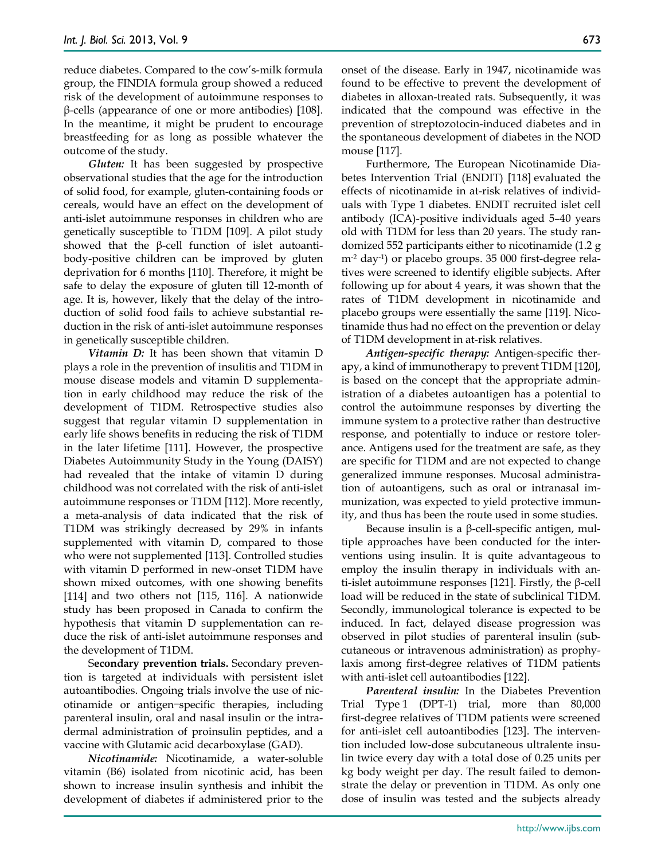reduce diabetes. Compared to the cow's-milk formula group, the FINDIA formula group showed a reduced risk of the development of autoimmune responses to β-cells (appearance of one or more antibodies) [108]. In the meantime, it might be prudent to encourage breastfeeding for as long as possible whatever the outcome of the study.

*Gluten:* It has been suggested by prospective observational studies that the age for the introduction of solid food, for example, gluten-containing foods or cereals, would have an effect on the development of anti-islet autoimmune responses in children who are genetically susceptible to T1DM [109]. A pilot study showed that the β-cell function of islet autoantibody-positive children can be improved by gluten deprivation for 6 months [110]. Therefore, it might be safe to delay the exposure of gluten till 12-month of age. It is, however, likely that the delay of the introduction of solid food fails to achieve substantial reduction in the risk of anti-islet autoimmune responses in genetically susceptible children.

*Vitamin D:* It has been shown that vitamin D plays a role in the prevention of insulitis and T1DM in mouse disease models and vitamin D supplementation in early childhood may reduce the risk of the development of T1DM. Retrospective studies also suggest that regular vitamin D supplementation in early life shows benefits in reducing the risk of T1DM in the later lifetime [111]. However, the prospective Diabetes Autoimmunity Study in the Young (DAISY) had revealed that the intake of vitamin D during childhood was not correlated with the risk of anti-islet autoimmune responses or T1DM [112]. More recently, a meta-analysis of data indicated that the risk of T1DM was strikingly decreased by 29% in infants supplemented with vitamin D, compared to those who were not supplemented [113]. Controlled studies with vitamin D performed in new-onset T1DM have shown mixed outcomes, with one showing benefits [114] and two others not [115, 116]. A nationwide study has been proposed in Canada to confirm the hypothesis that vitamin D supplementation can reduce the risk of anti-islet autoimmune responses and the development of T1DM.

S**econdary prevention trials.** Secondary prevention is targeted at individuals with persistent islet autoantibodies. Ongoing trials involve the use of nicotinamide or antigen-specific therapies, including parenteral insulin, oral and nasal insulin or the intradermal administration of proinsulin peptides, and a vaccine with Glutamic acid decarboxylase (GAD).

*Nicotinamide:* Nicotinamide, a water-soluble vitamin (B6) isolated from nicotinic acid, has been shown to increase insulin synthesis and inhibit the development of diabetes if administered prior to the onset of the disease. Early in 1947, nicotinamide was found to be effective to prevent the development of diabetes in alloxan-treated rats. Subsequently, it was indicated that the compound was effective in the prevention of streptozotocin-induced diabetes and in the spontaneous development of diabetes in the NOD mouse [117].

Furthermore, The European Nicotinamide Diabetes Intervention Trial (ENDIT) [118] evaluated the effects of nicotinamide in at-risk relatives of individuals with Type 1 diabetes. ENDIT recruited islet cell antibody (ICA)-positive individuals aged 5–40 years old with T1DM for less than 20 years. The study randomized 552 participants either to nicotinamide (1.2 g m-2 day-1) or placebo groups. 35 000 first-degree relatives were screened to identify eligible subjects. After following up for about 4 years, it was shown that the rates of T1DM development in nicotinamide and placebo groups were essentially the same [119]. Nicotinamide thus had no effect on the prevention or delay of T1DM development in at-risk relatives.

*Antigen-specific therapy:* Antigen-specific therapy, a kind of immunotherapy to prevent T1DM [120], is based on the concept that the appropriate administration of a diabetes autoantigen has a potential to control the autoimmune responses by diverting the immune system to a protective rather than destructive response, and potentially to induce or restore tolerance. Antigens used for the treatment are safe, as they are specific for T1DM and are not expected to change generalized immune responses. Mucosal administration of autoantigens, such as oral or intranasal immunization, was expected to yield protective immunity, and thus has been the route used in some studies.

Because insulin is a  $β$ -cell-specific antigen, multiple approaches have been conducted for the interventions using insulin. It is quite advantageous to employ the insulin therapy in individuals with anti-islet autoimmune responses [121]. Firstly, the β-cell load will be reduced in the state of subclinical T1DM. Secondly, immunological tolerance is expected to be induced. In fact, delayed disease progression was observed in pilot studies of parenteral insulin (subcutaneous or intravenous administration) as prophylaxis among first-degree relatives of T1DM patients with anti-islet cell autoantibodies [122].

*Parenteral insulin:* In the Diabetes Prevention Trial Type 1 (DPT-1) trial, more than 80,000 first-degree relatives of T1DM patients were screened for anti-islet cell autoantibodies [123]. The intervention included low-dose subcutaneous ultralente insulin twice every day with a total dose of 0.25 units per kg body weight per day. The result failed to demonstrate the delay or prevention in T1DM. As only one dose of insulin was tested and the subjects already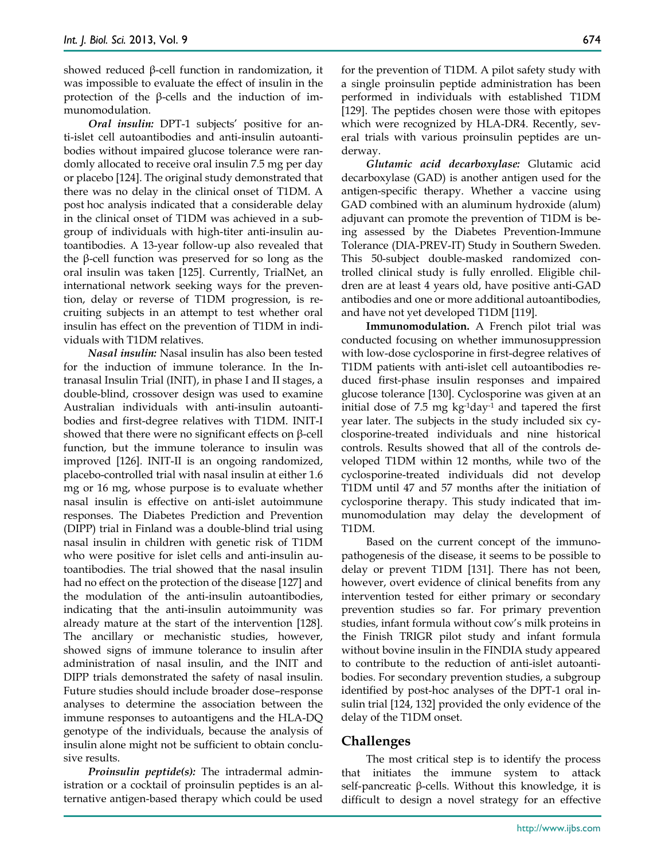showed reduced β-cell function in randomization, it was impossible to evaluate the effect of insulin in the protection of the β-cells and the induction of immunomodulation.

*Oral insulin:* DPT-1 subjects' positive for anti-islet cell autoantibodies and anti-insulin autoantibodies without impaired glucose tolerance were randomly allocated to receive oral insulin 7.5 mg per day or placebo [124]. The original study demonstrated that there was no delay in the clinical onset of T1DM. A post hoc analysis indicated that a considerable delay in the clinical onset of T1DM was achieved in a subgroup of individuals with high-titer anti-insulin autoantibodies. A 13-year follow-up also revealed that the β-cell function was preserved for so long as the oral insulin was taken [125]. Currently, TrialNet, an international network seeking ways for the prevention, delay or reverse of T1DM progression, is recruiting subjects in an attempt to test whether oral insulin has effect on the prevention of T1DM in individuals with T1DM relatives.

*Nasal insulin:* Nasal insulin has also been tested for the induction of immune tolerance. In the Intranasal Insulin Trial (INIT), in phase I and II stages, a double-blind, crossover design was used to examine Australian individuals with anti-insulin autoantibodies and first-degree relatives with T1DM. INIT-I showed that there were no significant effects on  $\beta$ -cell function, but the immune tolerance to insulin was improved [126]. INIT-II is an ongoing randomized, placebo-controlled trial with nasal insulin at either 1.6 mg or 16 mg, whose purpose is to evaluate whether nasal insulin is effective on anti-islet autoimmune responses. The Diabetes Prediction and Prevention (DIPP) trial in Finland was a double-blind trial using nasal insulin in children with genetic risk of T1DM who were positive for islet cells and anti-insulin autoantibodies. The trial showed that the nasal insulin had no effect on the protection of the disease [127] and the modulation of the anti-insulin autoantibodies, indicating that the anti-insulin autoimmunity was already mature at the start of the intervention [128]. The ancillary or mechanistic studies, however, showed signs of immune tolerance to insulin after administration of nasal insulin, and the INIT and DIPP trials demonstrated the safety of nasal insulin. Future studies should include broader dose–response analyses to determine the association between the immune responses to autoantigens and the HLA-DQ genotype of the individuals, because the analysis of insulin alone might not be sufficient to obtain conclusive results.

*Proinsulin peptide(s):* The intradermal administration or a cocktail of proinsulin peptides is an alternative antigen-based therapy which could be used for the prevention of T1DM. A pilot safety study with a single proinsulin peptide administration has been performed in individuals with established T1DM [129]. The peptides chosen were those with epitopes which were recognized by HLA-DR4. Recently, several trials with various proinsulin peptides are underway.

*Glutamic acid decarboxylase:* Glutamic acid decarboxylase (GAD) is another antigen used for the antigen-specific therapy. Whether a vaccine using GAD combined with an aluminum hydroxide (alum) adjuvant can promote the prevention of T1DM is being assessed by the Diabetes Prevention-Immune Tolerance (DIA-PREV-IT) Study in Southern Sweden. This 50-subject double-masked randomized controlled clinical study is fully enrolled. Eligible children are at least 4 years old, have positive anti-GAD antibodies and one or more additional autoantibodies, and have not yet developed T1DM [119].

**Immunomodulation.** A French pilot trial was conducted focusing on whether immunosuppression with low-dose cyclosporine in first-degree relatives of T1DM patients with anti-islet cell autoantibodies reduced first-phase insulin responses and impaired glucose tolerance [130]. Cyclosporine was given at an initial dose of 7.5 mg kg-1day-1 and tapered the first year later. The subjects in the study included six cyclosporine-treated individuals and nine historical controls. Results showed that all of the controls developed T1DM within 12 months, while two of the cyclosporine-treated individuals did not develop T1DM until 47 and 57 months after the initiation of cyclosporine therapy. This study indicated that immunomodulation may delay the development of T1DM.

Based on the current concept of the immunopathogenesis of the disease, it seems to be possible to delay or prevent T1DM [131]. There has not been, however, overt evidence of clinical benefits from any intervention tested for either primary or secondary prevention studies so far. For primary prevention studies, infant formula without cow's milk proteins in the Finish TRIGR pilot study and infant formula without bovine insulin in the FINDIA study appeared to contribute to the reduction of anti-islet autoantibodies. For secondary prevention studies, a subgroup identified by post-hoc analyses of the DPT-1 oral insulin trial [124, 132] provided the only evidence of the delay of the T1DM onset.

### **Challenges**

The most critical step is to identify the process that initiates the immune system to attack self-pancreatic β-cells. Without this knowledge, it is difficult to design a novel strategy for an effective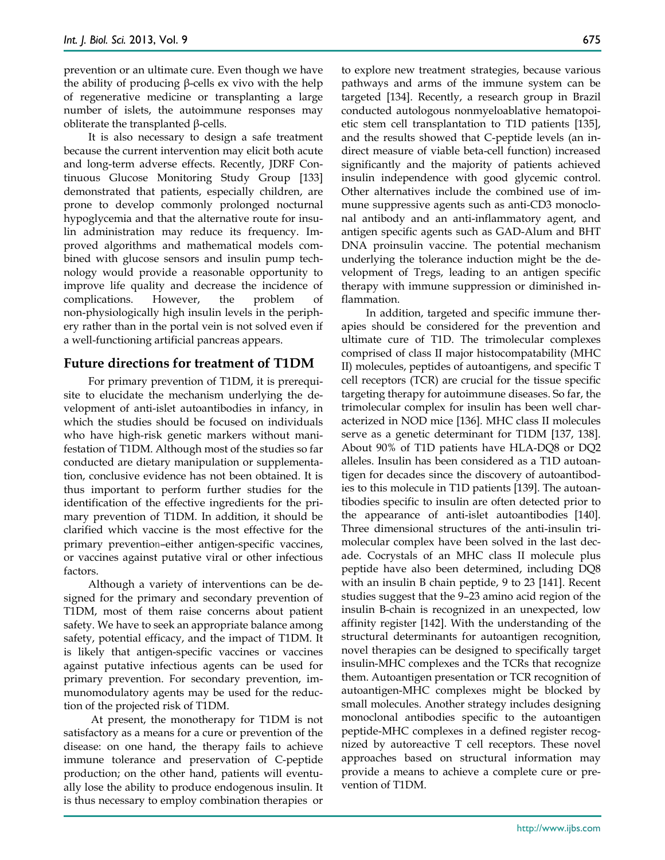prevention or an ultimate cure. Even though we have the ability of producing β-cells ex vivo with the help of regenerative medicine or transplanting a large number of islets, the autoimmune responses may obliterate the transplanted β-cells.

It is also necessary to design a safe treatment because the current intervention may elicit both acute and long-term adverse effects. Recently, JDRF Continuous Glucose Monitoring Study Group [133] demonstrated that patients, especially children, are prone to develop commonly prolonged nocturnal hypoglycemia and that the alternative route for insulin administration may reduce its frequency. Improved algorithms and mathematical models combined with glucose sensors and insulin pump technology would provide a reasonable opportunity to improve life quality and decrease the incidence of complications. However, the problem of non-physiologically high insulin levels in the periphery rather than in the portal vein is not solved even if a well-functioning artificial pancreas appears.

## **Future directions for treatment of T1DM**

For primary prevention of T1DM, it is prerequisite to elucidate the mechanism underlying the development of anti-islet autoantibodies in infancy, in which the studies should be focused on individuals who have high-risk genetic markers without manifestation of T1DM. Although most of the studies so far conducted are dietary manipulation or supplementation, conclusive evidence has not been obtained. It is thus important to perform further studies for the identification of the effective ingredients for the primary prevention of T1DM. In addition, it should be clarified which vaccine is the most effective for the primary prevention–either antigen-specific vaccines, or vaccines against putative viral or other infectious factors.

Although a variety of interventions can be designed for the primary and secondary prevention of T1DM, most of them raise concerns about patient safety. We have to seek an appropriate balance among safety, potential efficacy, and the impact of T1DM. It is likely that antigen-specific vaccines or vaccines against putative infectious agents can be used for primary prevention. For secondary prevention, immunomodulatory agents may be used for the reduction of the projected risk of T1DM.

At present, the monotherapy for T1DM is not satisfactory as a means for a cure or prevention of the disease: on one hand, the therapy fails to achieve immune tolerance and preservation of C-peptide production; on the other hand, patients will eventually lose the ability to produce endogenous insulin. It is thus necessary to employ combination therapies or

to explore new treatment strategies, because various pathways and arms of the immune system can be targeted [134]. Recently, a research group in Brazil conducted autologous nonmyeloablative hematopoietic stem cell transplantation to T1D patients [135], and the results showed that C-peptide levels (an indirect measure of viable beta-cell function) increased significantly and the majority of patients achieved insulin independence with good glycemic control. Other alternatives include the combined use of immune suppressive agents such as anti-CD3 monoclonal antibody and an anti-inflammatory agent, and antigen specific agents such as GAD-Alum and BHT DNA proinsulin vaccine. The potential mechanism underlying the tolerance induction might be the development of Tregs, leading to an antigen specific therapy with immune suppression or diminished inflammation.

In addition, targeted and specific immune therapies should be considered for the prevention and ultimate cure of T1D. The trimolecular complexes comprised of class II major histocompatability (MHC II) molecules, peptides of autoantigens, and specific T cell receptors (TCR) are crucial for the tissue specific targeting therapy for autoimmune diseases. So far, the trimolecular complex for insulin has been well characterized in NOD mice [136]. MHC class II molecules serve as a genetic determinant for T1DM [137, 138]. About 90% of T1D patients have HLA-DQ8 or DQ2 alleles. Insulin has been considered as a T1D autoantigen for decades since the discovery of autoantibodies to this molecule in T1D patients [139]. The autoantibodies specific to insulin are often detected prior to the appearance of anti-islet autoantibodies [140]. Three dimensional structures of the anti-insulin trimolecular complex have been solved in the last decade. Cocrystals of an MHC class II molecule plus peptide have also been determined, including DQ8 with an insulin B chain peptide, 9 to 23 [141]. Recent studies suggest that the 9–23 amino acid region of the insulin B-chain is recognized in an unexpected, low affinity register [142]. With the understanding of the structural determinants for autoantigen recognition, novel therapies can be designed to specifically target insulin-MHC complexes and the TCRs that recognize them. Autoantigen presentation or TCR recognition of autoantigen-MHC complexes might be blocked by small molecules. Another strategy includes designing monoclonal antibodies specific to the autoantigen peptide-MHC complexes in a defined register recognized by autoreactive T cell receptors. These novel approaches based on structural information may provide a means to achieve a complete cure or prevention of T1DM.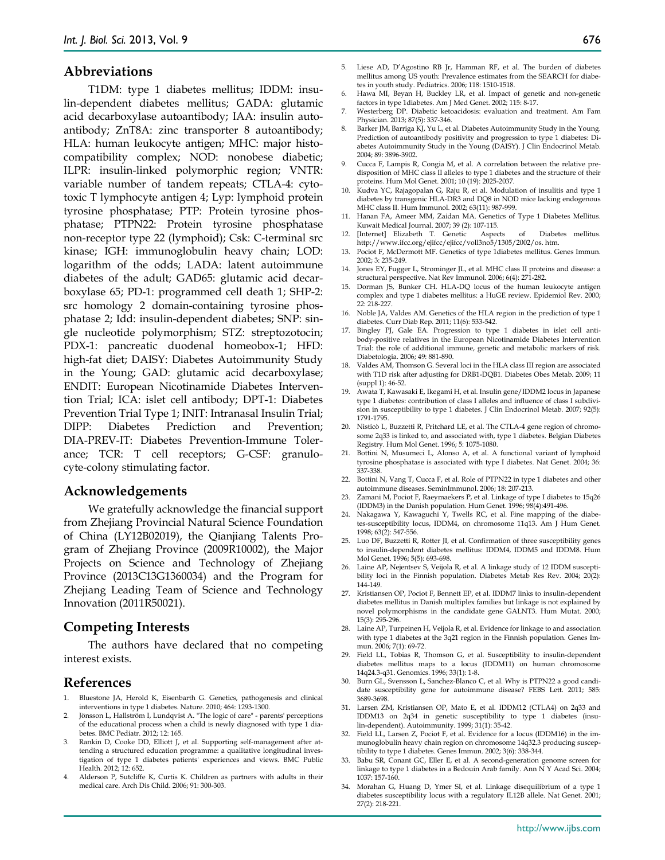#### **Abbreviations**

T1DM: type 1 diabetes mellitus; IDDM: insulin-dependent diabetes mellitus; GADA: glutamic acid decarboxylase autoantibody; IAA: insulin autoantibody; ZnT8A: zinc transporter 8 autoantibody; HLA: human leukocyte antigen; MHC: major histocompatibility complex; NOD: nonobese diabetic; ILPR: insulin-linked polymorphic region; VNTR: variable number of tandem repeats; CTLA-4: cytotoxic T lymphocyte antigen 4; Lyp: lymphoid protein tyrosine phosphatase; PTP: Protein tyrosine phosphatase; PTPN22: Protein tyrosine phosphatase non-receptor type 22 (lymphoid); Csk: C-terminal src kinase; IGH: immunoglobulin heavy chain; LOD: logarithm of the odds; LADA: latent autoimmune diabetes of the adult; GAD65: glutamic acid decarboxylase 65; PD-1: programmed cell death 1; SHP-2: src homology 2 domain-containing tyrosine phosphatase 2; Idd: insulin-dependent diabetes; SNP: single nucleotide polymorphism; STZ: streptozotocin; PDX-1: pancreatic duodenal homeobox-1; HFD: high-fat diet; DAISY: Diabetes Autoimmunity Study in the Young; GAD: glutamic acid decarboxylase; ENDIT: European Nicotinamide Diabetes Intervention Trial; ICA: islet cell antibody; DPT-1: Diabetes Prevention Trial Type 1; INIT: Intranasal Insulin Trial; DIPP: Diabetes Prediction and Prevention; DIA-PREV-IT: Diabetes Prevention-Immune Tolerance; TCR: T cell receptors; G-CSF: granulocyte-colony stimulating factor.

#### **Acknowledgements**

We gratefully acknowledge the financial support from Zhejiang Provincial Natural Science Foundation of China (LY12B02019), the Qianjiang Talents Program of Zhejiang Province (2009R10002), the Major Projects on Science and Technology of Zhejiang Province (2013C13G1360034) and the Program for Zhejiang Leading Team of Science and Technology Innovation (2011R50021).

### **Competing Interests**

The authors have declared that no competing interest exists.

#### **References**

- Bluestone JA, Herold K, Eisenbarth G. Genetics, pathogenesis and clinical interventions in type 1 diabetes. Nature. 2010; 464: 1293-1300.
- 2. Jönsson L, Hallström I, Lundqvist A. "The logic of care" parents' perceptions of the educational process when a child is newly diagnosed with type 1 diabetes. BMC Pediatr. 2012; 12: 165.
- Rankin D, Cooke DD, Elliott J, et al. Supporting self-management after attending a structured education programme: a qualitative longitudinal investigation of type 1 diabetes patients' experiences and views. BMC Public Health. 2012; 12: 652.
- 4. Alderson P, Sutcliffe K, Curtis K. Children as partners with adults in their medical care. Arch Dis Child. 2006; 91: 300-303.
- 5. Liese AD, D'Agostino RB Jr, Hamman RF, et al. The burden of diabetes mellitus among US youth: Prevalence estimates from the SEARCH for diabetes in youth study. Pediatrics. 2006; 118: 1510-1518.
- 6. Hawa MI, Beyan H, Buckley LR, et al. Impact of genetic and non-genetic factors in type 1diabetes. Am J Med Genet. 2002; 115: 8-17.
- 7. Westerberg DP. Diabetic ketoacidosis: evaluation and treatment. Am Fam Physician. 2013; 87(5): 337-346.
- 8. Barker JM, Barriga KJ, Yu L, et al. Diabetes Autoimmunity Study in the Young. Prediction of autoantibody positivity and progression to type 1 diabetes: Diabetes Autoimmunity Study in the Young (DAISY). J Clin Endocrinol Metab. 2004; 89: 3896-3902.
- 9. Cucca F, Lampis R, Congia M, et al. A correlation between the relative predisposition of MHC class II alleles to type 1 diabetes and the structure of their proteins. Hum Mol Genet. 2001; 10 (19): 2025-2037.
- 10. Kudva YC, Rajagopalan G, Raju R, et al. Modulation of insulitis and type 1 diabetes by transgenic HLA-DR3 and DQ8 in NOD mice lacking endogenous MHC class II. Hum Immunol. 2002; 63(11): 987-999.
- 11. Hanan FA, Ameer MM, Zaidan MA. Genetics of Type 1 Diabetes Mellitus. Kuwait Medical Journal. 2007; 39 (2): 107-115.
- 12. [Internet] Elizabeth T. Genetic Aspects of Diabetes mellitus. http://www.ifcc.org/ejifcc/ejifcc/voll3no5/1305/2002/os. htm.
- 13. Pociot F, McDermott MF. Genetics of type 1diabetes mellitus. Genes Immun. 2002; 3: 235-249.
- 14. Jones EY, Fugger L, Strominger JL, et al. MHC class II proteins and disease: a structural perspective. Nat Rev Immunol. 2006; 6(4): 271-282.
- 15. Dorman JS, Bunker CH. HLA-DQ locus of the human leukocyte antigen complex and type 1 diabetes mellitus: a HuGE review. Epidemiol Rev. 2000; 22: 218-227.
- 16. Noble JA, Valdes AM. Genetics of the HLA region in the prediction of type 1 diabetes. Curr Diab Rep. 2011; 11(6): 533-542.
- 17. Bingley PJ, Gale EA. Progression to type 1 diabetes in islet cell antibody-positive relatives in the European Nicotinamide Diabetes Intervention Trial: the role of additional immune, genetic and metabolic markers of risk. Diabetologia. 2006; 49: 881-890.
- 18. Valdes AM, Thomson G. Several loci in the HLA class III region are associated with T1D risk after adjusting for DRB1-DQB1. Diabetes Obes Metab. 2009; 11 (suppl 1): 46-52.
- 19. Awata T, Kawasaki E, Ikegami H, et al. Insulin gene/IDDM2 locus in Japanese type 1 diabetes: contribution of class I alleles and influence of class I subdivision in susceptibility to type 1 diabetes. J Clin Endocrinol Metab. 2007; 92(5): 1791-1795.
- 20. Nisticò L, Buzzetti R, Pritchard LE, et al. The CTLA-4 gene region of chromosome 2q33 is linked to, and associated with, type 1 diabetes. Belgian Diabetes Registry. Hum Mol Genet. 1996; 5: 1075-1080.
- 21. Bottini N, Musumeci L, Alonso A, et al. A functional variant of lymphoid tyrosine phosphatase is associated with type I diabetes. Nat Genet. 2004; 36: 337-338.
- 22. Bottini N, Vang T, Cucca F, et al. Role of PTPN22 in type 1 diabetes and other autoimmune diseases. SeminImmunol. 2006; 18: 207-213.
- 23. Zamani M, Pociot F, Raeymaekers P, et al. Linkage of type I diabetes to 15q26 (IDDM3) in the Danish population. Hum Genet. 1996; 98(4):491-496.
- 24. Nakagawa Y, Kawaguchi Y, Twells RC, et al. Fine mapping of the diabetes-susceptibility locus, IDDM4, on chromosome 11q13. Am J Hum Genet. 1998; 63(2): 547-556.
- 25. Luo DF, Buzzetti R, Rotter JI, et al. Confirmation of three susceptibility genes to insulin-dependent diabetes mellitus: IDDM4, IDDM5 and IDDM8. Hum Mol Genet. 1996; 5(5): 693-698.
- 26. Laine AP, Nejentsev S, Veijola R, et al. A linkage study of 12 IDDM susceptibility loci in the Finnish population. Diabetes Metab Res Rev. 2004; 20(2): 144-149.
- 27. Kristiansen OP, Pociot F, Bennett EP, et al. IDDM7 links to insulin-dependent diabetes mellitus in Danish multiplex families but linkage is not explained by novel polymorphisms in the candidate gene GALNT3. Hum Mutat. 2000; 15(3): 295-296.
- 28. Laine AP, Turpeinen H, Veijola R, et al. Evidence for linkage to and association with type 1 diabetes at the 3q21 region in the Finnish population. Genes Immun. 2006; 7(1): 69-72.
- 29. Field LL, Tobias R, Thomson G, et al. Susceptibility to insulin-dependent diabetes mellitus maps to a locus (IDDM11) on human chromosome 14q24.3-q31. Genomics. 1996; 33(1): 1-8.
- 30. Burn GL, Svensson L, Sanchez-Blanco C, et al. Why is PTPN22 a good candidate susceptibility gene for autoimmune disease? FEBS Lett. 2011; 585: 3689-3698.
- 31. Larsen ZM, Kristiansen OP, Mato E, et al. IDDM12 (CTLA4) on 2q33 and IDDM13 on 2q34 in genetic susceptibility to type 1 diabetes (insulin-dependent). Autoimmunity. 1999; 31(1): 35-42.
- 32. Field LL, Larsen Z, Pociot F, et al. Evidence for a locus (IDDM16) in the immunoglobulin heavy chain region on chromosome 14q32.3 producing susceptibility to type 1 diabetes. Genes Immun. 2002; 3(6): 338-344.
- 33. Babu SR, Conant GC, Eller E, et al. A second-generation genome screen for linkage to type 1 diabetes in a Bedouin Arab family. Ann N Y Acad Sci. 2004; 1037: 157-160.
- 34. Morahan G, Huang D, Ymer SI, et al. Linkage disequilibrium of a type 1 diabetes susceptibility locus with a regulatory IL12B allele. Nat Genet. 2001; 27(2): 218-221.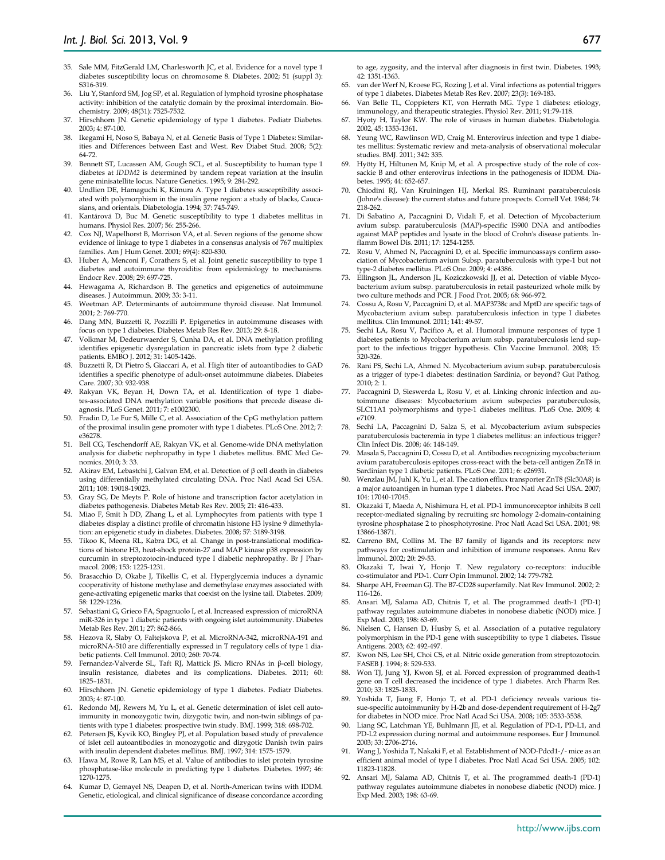- 35. Sale MM, FitzGerald LM, Charlesworth JC, et al. Evidence for a novel type 1 diabetes susceptibility locus on chromosome 8. Diabetes. 2002; 51 (suppl 3): S316-319.
- 36. Liu Y, Stanford SM, Jog SP, et al. Regulation of lymphoid tyrosine phosphatase activity: inhibition of the catalytic domain by the proximal interdomain. Biochemistry. 2009; 48(31): 7525-7532.
- 37. Hirschhorn JN. Genetic epidemiology of type 1 diabetes. Pediatr Diabetes. 2003; 4: 87-100.
- 38. Ikegami H, Noso S, Babaya N, et al. Genetic Basis of Type 1 Diabetes: Similarities and Differences between East and West. Rev Diabet Stud. 2008; 5(2): 64-72.
- 39. Bennett ST, Lucassen AM, Gough SCL, et al. Susceptibility to human type 1 diabetes at *IDDM2* is determined by tandem repeat variation at the insulin gene minisatellite locus. Nature Genetics. 1995; 9: 284-292.
- 40. Undlien DE, Hamaguchi K, Kimura A. Type 1 diabetes susceptibility associated with polymorphism in the insulin gene region: a study of blacks, Caucasians, and orientals. Diabetologia. 1994; 37: 745-749.
- 41. Kantárová D, Buc M. Genetic susceptibility to type 1 diabetes mellitus in humans. Physiol Res. 2007; 56: 255-266.
- 42. Cox NJ, Wapelhorst B, Morrison VA, et al. Seven regions of the genome show evidence of linkage to type 1 diabetes in a consensus analysis of 767 multiplex families. Am J Hum Genet. 2001; 69(4): 820-830.
- 43. Huber A, Menconi F, Corathers S, et al. Joint genetic susceptibility to type 1 diabetes and autoimmune thyroiditis: from epidemiology to mechanisms. Endocr Rev. 2008; 29: 697-725.
- 44. Hewagama A, Richardson B. The genetics and epigenetics of autoimmune diseases. J Autoimmun. 2009; 33: 3-11.
- 45. Weetman AP. Determinants of autoimmune thyroid disease. Nat Immunol. 2001; 2: 769-770.
- 46. Dang MN, Buzzetti R, Pozzilli P. Epigenetics in autoimmune diseases with focus on type 1 diabetes. Diabetes Metab Res Rev. 2013; 29: 8-18.
- 47. Volkmar M, Dedeurwaerder S, Cunha DA, et al. DNA methylation profiling identifies epigenetic dysregulation in pancreatic islets from type 2 diabetic patients. EMBO J. 2012; 31: 1405-1426.
- 48. Buzzetti R, Di Pietro S, Giaccari A, et al. High titer of autoantibodies to GAD identifies a specific phenotype of adult-onset autoimmune diabetes. Diabetes Care. 2007; 30: 932-938.
- 49. Rakyan VK, Beyan H, Down TA, et al. Identification of type 1 diabetes-associated DNA methylation variable positions that precede disease diagnosis. PLoS Genet. 2011; 7: e1002300.
- Fradin D, Le Fur S, Mille C, et al. Association of the CpG methylation pattern of the proximal insulin gene promoter with type 1 diabetes. PLoS One. 2012; 7: e36278.
- 51. Bell CG, Teschendorff AE, Rakyan VK, et al. Genome-wide DNA methylation analysis for diabetic nephropathy in type 1 diabetes mellitus. BMC Med Genomics. 2010; 3: 33.
- 52. Akirav EM, Lebastchi J, Galvan EM, et al. Detection of β cell death in diabetes using differentially methylated circulating DNA. Proc Natl Acad Sci USA. 2011; 108: 19018-19023.
- 53. Gray SG, De Meyts P. Role of histone and transcription factor acetylation in diabetes pathogenesis. Diabetes Metab Res Rev. 2005; 21: 416-433.
- Miao F, Smit h DD, Zhang L, et al. Lymphocytes from patients with type 1 diabetes display a distinct profile of chromatin histone H3 lysine 9 dimethylation: an epigenetic study in diabetes. Diabetes. 2008; 57: 3189-3198.
- 55. Tikoo K, Meena RL, Kabra DG, et al. Change in post-translational modifications of histone H3, heat-shock protein-27 and MAP kinase p38 expression by curcumin in streptozotocin-induced type I diabetic nephropathy. Br J Pharmacol. 2008; 153: 1225-1231.
- 56. Brasacchio D, Okabe J, Tikellis C, et al. Hyperglycemia induces a dynamic cooperativity of histone methylase and demethylase enzymes associated with gene-activating epigenetic marks that coexist on the lysine tail. Diabetes. 2009; 58: 1229-1236.
- 57. Sebastiani G, Grieco FA, Spagnuolo I, et al. Increased expression of microRNA miR-326 in type 1 diabetic patients with ongoing islet autoimmunity. Diabetes Metab Res Rev. 2011; 27: 862-866.
- 58. Hezova R, Slaby O, Faltejskova P, et al. MicroRNA-342, microRNA-191 and microRNA-510 are differentially expressed in T regulatory cells of type 1 diabetic patients. Cell Immunol. 2010; 260: 70-74.
- 59. Fernandez-Valverde SL, Taft RJ, Mattick JS. Micro RNAs in β-cell biology, insulin resistance, diabetes and its complications. Diabetes. 2011; 60: 1825–1831.
- 60. Hirschhorn JN. Genetic epidemiology of type 1 diabetes. Pediatr Diabetes. 2003; 4: 87-100.
- 61. Redondo MJ, Rewers M, Yu L, et al. Genetic determination of islet cell autoimmunity in monozygotic twin, dizygotic twin, and non-twin siblings of patients with type 1 diabetes: prospective twin study. BMJ. 1999; 318: 698-702.
- 62. Petersen JS, Kyvik KO, Bingley PJ, et al. Population based study of prevalence of islet cell autoantibodies in monozygotic and dizygotic Danish twin pairs with insulin dependent diabetes mellitus. BMJ. 1997; 314: 1575-1579.
- 63. Hawa M, Rowe R, Lan MS, et al. Value of antibodies to islet protein tyrosine phosphatase-like molecule in predicting type 1 diabetes. Diabetes. 1997; 46: 1270-1275.
- 64. Kumar D, Gemayel NS, Deapen D, et al. North-American twins with IDDM. Genetic, etiological, and clinical significance of disease concordance according

to age, zygosity, and the interval after diagnosis in first twin. Diabetes. 1993; 42: 1351-1363.

- 65. van der Werf N, Kroese FG, Rozing J, et al. Viral infections as potential triggers of type 1 diabetes. Diabetes Metab Res Rev. 2007; 23(3): 169-183.
- 66. Van Belle TL, Coppieters KT, von Herrath MG. Type 1 diabetes: etiology, immunology, and therapeutic strategies. Physiol Rev. 2011; 91:79-118.
- 67. Hyoty H, Taylor KW. The role of viruses in human diabetes. Diabetologia. 2002, 45: 1353-1361.
- 68. Yeung WC, Rawlinson WD, Craig M. Enterovirus infection and type 1 diabetes mellitus: Systematic review and meta-analysis of observational molecular studies. BMJ. 2011; 342: 335.
- 69. Hyöty H, Hiltunen M, Knip M, et al. A prospective study of the role of coxsackie B and other enterovirus infections in the pathogenesis of IDDM. Diabetes. 1995; 44: 652-657.
- 70. Chiodini RJ, Van Kruiningen HJ, Merkal RS. Ruminant paratuberculosis (Johne's disease): the current status and future prospects. Cornell Vet. 1984; 74: 218-262.
- 71. Di Sabatino A, Paccagnini D, Vidali F, et al. Detection of Mycobacterium avium subsp. paratuberculosis (MAP)-specific IS900 DNA and antibodies against MAP peptides and lysate in the blood of Crohn's disease patients. Inflamm Bowel Dis. 2011; 17: 1254-1255.
- Rosu V, Ahmed N, Paccagnini D, et al. Specific immunoassays confirm association of Mycobacterium avium Subsp. paratuberculosis with type-1 but not type-2 diabetes mellitus. PLoS One. 2009; 4: e4386.
- 73. Ellingson JL, Anderson JL, Koziczkowski JJ, et al. Detection of viable Mycobacterium avium subsp. paratuberculosis in retail pasteurized whole milk by two culture methods and PCR. J Food Prot. 2005; 68: 966-972.
- 74. Cossu A, Rosu V, Paccagnini D, et al. MAP3738c and MptD are specific tags of Mycobacterium avium subsp. paratuberculosis infection in type I diabetes mellitus. Clin Immunol. 2011; 141: 49-57.
- 75. Sechi LA, Rosu V, Pacifico A, et al. Humoral immune responses of type 1 diabetes patients to Mycobacterium avium subsp. paratuberculosis lend support to the infectious trigger hypothesis. Clin Vaccine Immunol. 2008; 15: 320-326.
- 76. Rani PS, Sechi LA, Ahmed N. Mycobacterium avium subsp. paratuberculosis as a trigger of type-1 diabetes: destination Sardinia, or beyond? Gut Pathog. 2010; 2: 1.
- 77. Paccagnini D, Sieswerda L, Rosu V, et al. Linking chronic infection and autoimmune diseases: Mycobacterium avium subspecies paratuberculosis, SLC11A1 polymorphisms and type-1 diabetes mellitus. PLoS One. 2009; 4: e7109.
- 78. Sechi LA, Paccagnini D, Salza S, et al. Mycobacterium avium subspecies paratuberculosis bacteremia in type 1 diabetes mellitus: an infectious trigger? Clin Infect Dis. 2008; 46: 148-149.
- 79. Masala S, Paccagnini D, Cossu D, et al. Antibodies recognizing mycobacterium avium paratuberculosis epitopes cross-react with the beta-cell antigen ZnT8 in Sardinian type 1 diabetic patients. PLoS One. 2011; 6: e26931.
- 80. Wenzlau JM, Juhl K, Yu L, et al. The cation efflux transporter ZnT8 (Slc30A8) is a major autoantigen in human type 1 diabetes. Proc Natl Acad Sci USA. 2007; 104: 17040-17045.
- 81. Okazaki T, Maeda A, Nishimura H, et al. PD-1 immunoreceptor inhibits B cell receptor-mediated signaling by recruiting src homology 2-domain-containing tyrosine phosphatase 2 to phosphotyrosine. Proc Natl Acad Sci USA. 2001; 98: 13866-13871.
- Carreno BM, Collins M. The B7 family of ligands and its receptors: new pathways for costimulation and inhibition of immune responses. Annu Rev Immunol. 2002; 20: 29-53.
- 83. Okazaki T, Iwai Y, Honjo T. New regulatory co-receptors: inducible co-stimulator and PD-1. Curr Opin Immunol. 2002; 14: 779-782.
- 84. Sharpe AH, Freeman GJ. The B7-CD28 superfamily. Nat Rev Immunol. 2002; 2: 116-126.
- 85. Ansari MJ, Salama AD, Chitnis T, et al. The programmed death-1 (PD-1) pathway regulates autoimmune diabetes in nonobese diabetic (NOD) mice. J Exp Med. 2003; 198: 63-69.
- 86. Nielsen C, Hansen D, Husby S, et al. Association of a putative regulatory polymorphism in the PD-1 gene with susceptibility to type 1 diabetes. Tissue Antigens. 2003; 62: 492-497.
- 87. Kwon NS, Lee SH, Choi CS, et al. Nitric oxide generation from streptozotocin. FASEB J. 1994; 8: 529-533.
- 88. Won TJ, Jung YJ, Kwon SJ, et al. Forced expression of programmed death-1 gene on T cell decreased the incidence of type 1 diabetes. Arch Pharm Res. 2010; 33: 1825-1833.
- Yoshida T, Jiang F, Honjo T, et al. PD-1 deficiency reveals various tissue-specific autoimmunity by H-2b and dose-dependent requirement of H-2g7 for diabetes in NOD mice. Proc Natl Acad Sci USA. 2008; 105: 3533-3538.
- 90. Liang SC, Latchman YE, Buhlmann JE, et al. Regulation of PD-1, PD-L1, and PD-L2 expression during normal and autoimmune responses. Eur J Immunol. 2003; 33: 2706-2716.
- 91. Wang J, Yoshida T, Nakaki F, et al. Establishment of NOD-Pdcd1-/- mice as an efficient animal model of type I diabetes. Proc Natl Acad Sci USA. 2005; 102: 11823-11828.
- 92. Ansari MJ, Salama AD, Chitnis T, et al. The programmed death-1 (PD-1) pathway regulates autoimmune diabetes in nonobese diabetic (NOD) mice. J Exp Med. 2003; 198: 63-69.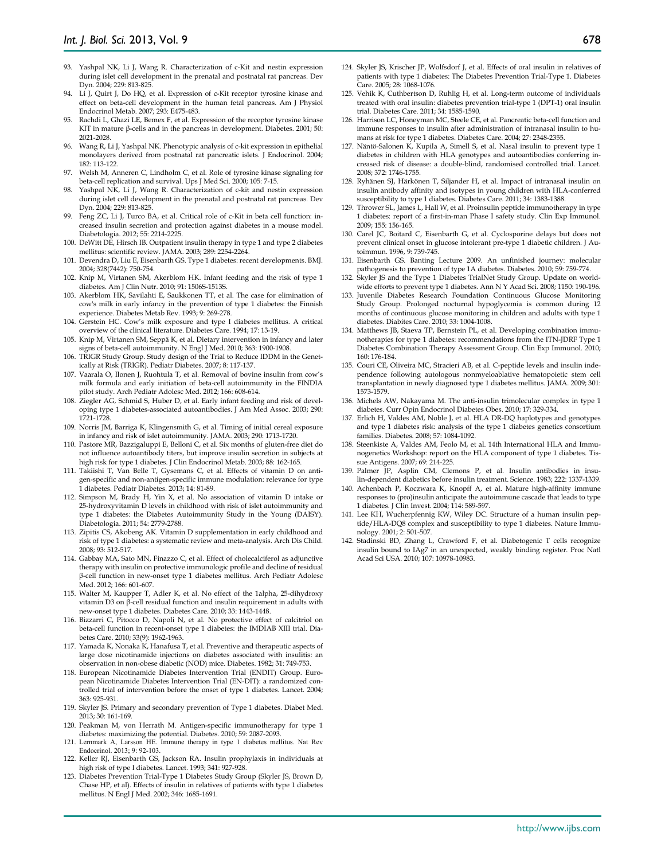- 94. Li J, Quirt J, Do HQ, et al. Expression of c-Kit receptor tyrosine kinase and effect on beta-cell development in the human fetal pancreas. Am J Physiol Endocrinol Metab. 2007; 293: E475-483.
- Rachdi L, Ghazi LE, Bemex F, et al. Expression of the receptor tyrosine kinase KIT in mature β-cells and in the pancreas in development. Diabetes. 2001; 50: 2021-2028.
- 96. Wang R, Li J, Yashpal NK. Phenotypic analysis of c-kit expression in epithelial monolayers derived from postnatal rat pancreatic islets. J Endocrinol. 2004; 182: 113-122.
- 97. Welsh M, Anneren C, Lindholm C, et al. Role of tyrosine kinase signaling for beta-cell replication and survival. Ups J Med Sci. 2000; 105: 7-15.
- 98. Yashpal NK, Li J, Wang R. Characterization of c-kit and nestin expression during islet cell development in the prenatal and postnatal rat pancreas. Dev Dyn. 2004; 229: 813-825.
- 99. Feng ZC, Li J, Turco BA, et al. Critical role of c-Kit in beta cell function: increased insulin secretion and protection against diabetes in a mouse model. Diabetologia. 2012; 55: 2214-2225.
- 100. DeWitt DE, Hirsch IB. Outpatient insulin therapy in type 1 and type 2 diabetes mellitus: scientific review. JAMA. 2003; 289: 2254-2264.
- 101. Devendra D, Liu E, Eisenbarth GS. Type 1 diabetes: recent developments. BMJ. 2004; 328(7442): 750-754.
- 102. Knip M, Virtanen SM, Akerblom HK. Infant feeding and the risk of type 1 diabetes. Am J Clin Nutr. 2010; 91: 1506S-1513S.
- 103. Akerblom HK, Savilahti E, Saukkonen TT, et al. The case for elimination of cow's milk in early infancy in the prevention of type 1 diabetes: the Finnish experience. Diabetes Metab Rev. 1993; 9: 269-278.
- 104. Gerstein HC. Cow's milk exposure and type I diabetes mellitus. A critical overview of the clinical literature. Diabetes Care. 1994; 17: 13-19.
- 105. Knip M, Virtanen SM, Seppä K, et al. Dietary intervention in infancy and later signs of beta-cell autoimmunity. N Engl J Med. 2010; 363: 1900-1908.
- 106. TRIGR Study Group. Study design of the Trial to Reduce IDDM in the Genetically at Risk (TRIGR). Pediatr Diabetes. 2007; 8: 117-137.
- 107. Vaarala O, Ilonen J, Ruohtula T, et al. Removal of bovine insulin from cow's milk formula and early initiation of beta-cell autoimmunity in the FINDIA pilot study. Arch Pediatr Adolesc Med. 2012; 166: 608-614.
- 108. Ziegler AG, Schmid S, Huber D, et al. Early infant feeding and risk of developing type 1 diabetes-associated autoantibodies. J Am Med Assoc. 2003; 290: 1721-1728.
- 109. Norris JM, Barriga K, Klingensmith G, et al. Timing of initial cereal exposure in infancy and risk of islet autoimmunity. JAMA. 2003; 290: 1713-1720.
- 110. Pastore MR, Bazzigaluppi E, Belloni C, et al. Six months of gluten-free diet do not influence autoantibody titers, but improve insulin secretion in subjects at high risk for type 1 diabetes. J Clin Endocrinol Metab. 2003; 88: 162-165.
- 111. Takiishi T, Van Belle T, Gysemans C, et al. Effects of vitamin D on antigen-specific and non-antigen-specific immune modulation: relevance for type 1 diabetes. Pediatr Diabetes. 2013; 14: 81-89.
- 112. Simpson M, Brady H, Yin X, et al. No association of vitamin D intake or 25-hydroxyvitamin D levels in childhood with risk of islet autoimmunity and type 1 diabetes: the Diabetes Autoimmunity Study in the Young (DAISY). Diabetologia. 2011; 54: 2779-2788.
- 113. Zipitis CS, Akobeng AK. Vitamin D supplementation in early childhood and risk of type 1 diabetes: a systematic review and meta-analysis. Arch Dis Child. 2008; 93: 512-517.
- 114. Gabbay MA, Sato MN, Finazzo C, et al. Effect of cholecalciferol as adjunctive therapy with insulin on protective immunologic profile and decline of residual β-cell function in new-onset type 1 diabetes mellitus. Arch Pediatr Adolesc Med. 2012; 166: 601-607.
- 115. Walter M, Kaupper T, Adler K, et al. No effect of the 1alpha, 25-dihydroxy vitamin D3 on β-cell residual function and insulin requirement in adults with new-onset type 1 diabetes. Diabetes Care. 2010; 33: 1443-1448.
- 116. Bizzarri C, Pitocco D, Napoli N, et al. No protective effect of calcitriol on beta-cell function in recent-onset type 1 diabetes: the IMDIAB XIII trial. Diabetes Care. 2010; 33(9): 1962-1963.
- 117. Yamada K, Nonaka K, Hanafusa T, et al. Preventive and therapeutic aspects of large dose nicotinamide injections on diabetes associated with insulitis: an observation in non-obese diabetic (NOD) mice. Diabetes. 1982; 31: 749-753.
- 118. European Nicotinamide Diabetes Intervention Trial (ENDIT) Group. European Nicotinamide Diabetes Intervention Trial (EN-DIT): a randomized controlled trial of intervention before the onset of type 1 diabetes. Lancet. 2004; 363: 925-931.
- 119. Skyler JS. Primary and secondary prevention of Type 1 diabetes. Diabet Med. 2013; 30: 161-169.
- 120. Peakman M, von Herrath M. Antigen-specific immunotherapy for type 1 diabetes: maximizing the potential. Diabetes. 2010; 59: 2087-2093.
- 121. Lernmark A, Larsson HE. Immune therapy in type 1 diabetes mellitus. Nat Rev Endocrinol. 2013; 9: 92-103.
- 122. Keller RJ, Eisenbarth GS, Jackson RA. Insulin prophylaxis in individuals at high risk of type I diabetes. Lancet. 1993; 341: 927-928.
- 123. Diabetes Prevention Trial-Type 1 Diabetes Study Group (Skyler JS, Brown D, Chase HP, et al). Effects of insulin in relatives of patients with type 1 diabetes mellitus. N Engl J Med. 2002; 346: 1685-1691.
- 124. Skyler JS, Krischer JP, Wolfsdorf J, et al. Effects of oral insulin in relatives of patients with type 1 diabetes: The Diabetes Prevention Trial-Type 1. Diabetes Care. 2005; 28: 1068-1076.
- 125. Vehik K, Cuthbertson D, Ruhlig H, et al. Long-term outcome of individuals treated with oral insulin: diabetes prevention trial-type 1 (DPT-1) oral insulin trial. Diabetes Care. 2011; 34: 1585-1590.
- 126. Harrison LC, Honeyman MC, Steele CE, et al. Pancreatic beta-cell function and immune responses to insulin after administration of intranasal insulin to humans at risk for type 1 diabetes. Diabetes Care. 2004; 27: 2348-2355.
- 127. Näntö-Salonen K, Kupila A, Simell S, et al. Nasal insulin to prevent type 1 diabetes in children with HLA genotypes and autoantibodies conferring increased risk of disease: a double-blind, randomised controlled trial. Lancet. 2008; 372: 1746-1755.
- 128. Ryhänen SJ, Härkönen T, Siljander H, et al. Impact of intranasal insulin on insulin antibody affinity and isotypes in young children with HLA-conferred susceptibility to type 1 diabetes. Diabetes Care. 2011; 34: 1383-1388.
- 129. Thrower SL, James L, Hall W, et al. Proinsulin peptide immunotherapy in type 1 diabetes: report of a first-in-man Phase I safety study. Clin Exp Immunol. 2009; 155: 156-165.
- 130. Carel JC, Boitard C, Eisenbarth G, et al. Cyclosporine delays but does not prevent clinical onset in glucose intolerant pre-type 1 diabetic children. J Autoimmun. 1996, 9: 739-745.
- 131. Eisenbarth GS. Banting Lecture 2009. An unfinished journey: molecular pathogenesis to prevention of type 1A diabetes. Diabetes. 2010; 59: 759-774.
- 132. Skyler JS and the Type 1 Diabetes TrialNet Study Group. Update on worldwide efforts to prevent type 1 diabetes. Ann N Y Acad Sci. 2008; 1150: 190-196.
- 133. Juvenile Diabetes Research Foundation Continuous Glucose Monitoring Study Group. Prolonged nocturnal hypoglycemia is common during 12 months of continuous glucose monitoring in children and adults with type 1 diabetes. Diabites Care. 2010; 33: 1004-1008.
- 134. Matthews JB, Staeva TP, Bernstein PL, et al. Developing combination immunotherapies for type 1 diabetes: recommendations from the ITN-JDRF Type 1 Diabetes Combination Therapy Assessment Group. Clin Exp Immunol. 2010; 160: 176-184.
- 135. Couri CE, Oliveira MC, Stracieri AB, et al. C-peptide levels and insulin independence following autologous nonmyeloablative hematopoietic stem cell transplantation in newly diagnosed type 1 diabetes mellitus. JAMA. 2009; 301: 1573-1579.
- 136. Michels AW, Nakayama M. The anti-insulin trimolecular complex in type 1 diabetes. Curr Opin Endocrinol Diabetes Obes. 2010; 17: 329-334.
- 137. Erlich H, Valdes AM, Noble J, et al. HLA DR-DQ haplotypes and genotypes and type 1 diabetes risk: analysis of the type 1 diabetes genetics consortium families. Diabetes. 2008; 57: 1084-1092.
- 138. Steenkiste A, Valdes AM, Feolo M, et al. 14th International HLA and Immunogenetics Workshop: report on the HLA component of type 1 diabetes. Tissue Antigens. 2007; 69: 214-225.
- 139. Palmer JP, Asplin CM, Clemons P, et al. Insulin antibodies in insulin-dependent diabetics before insulin treatment. Science. 1983; 222: 1337-1339.
- 140. Achenbach P, Koczwara K, Knopff A, et al. Mature high-affinity immune responses to (pro)insulin anticipate the autoimmune cascade that leads to type 1 diabetes. J Clin Invest. 2004; 114: 589-597.
- 141. Lee KH, Wucherpfennig KW, Wiley DC. Structure of a human insulin peptide/HLA-DQ8 complex and susceptibility to type 1 diabetes. Nature Immunology. 2001; 2: 501-507.
- 142. Stadinski BD, Zhang L, Crawford F, et al. Diabetogenic T cells recognize insulin bound to IAg7 in an unexpected, weakly binding register. Proc Natl Acad Sci USA. 2010; 107: 10978-10983.